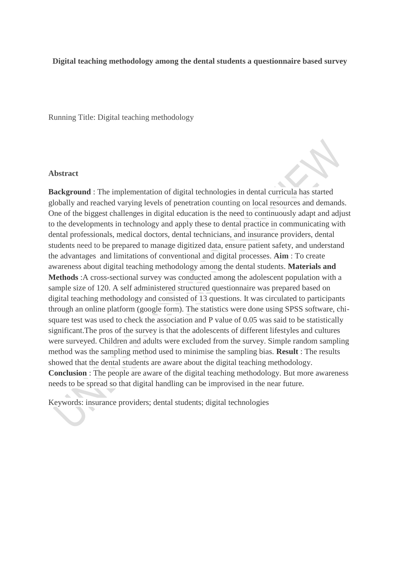### **Digital teaching methodology among the dental students a questionnaire based survey**

Running Title: Digital teaching methodology

#### **Abstract**

**Background** : The implementation of digital technologies in dental curricula has started globally and reached varying levels of penetration counting on local resources and demands. One of the biggest challenges in digital education is the need to continuously adapt and adjust to the developments in technology and apply these to dental practice in communicating with dental professionals, medical doctors, dental technicians, and insurance providers, dental students need to be prepared to manage digitized data, ensure patient safety, and understand the advantages and limitations of conventional and digital processes. **Aim** : To create awareness about digital teaching methodology among the dental students. **Materials and Methods** :A cross-sectional survey was conducted among the adolescent population with a sample size of 120. A self administered structured questionnaire was prepared based on digital teaching methodology and consisted of 13 questions. It was circulated to participants through an online platform (google form). The statistics were done using SPSS software, chisquare test was used to check the association and P value of 0.05 was said to be statistically significant.The pros of the survey is that the adolescents of different lifestyles and cultures were surveyed. Children and adults were excluded from the survey. Simple random sampling method was the sampling method used to minimise the sampling bias. **Result** : The results showed that the dental students are aware about the digital teaching methodology. **Conclusion** : The people are aware of the digital teaching methodology. But more awareness needs to be spread so that digital handling can be improvised in the near future.

Keywords: insurance providers; dental students; digital technologies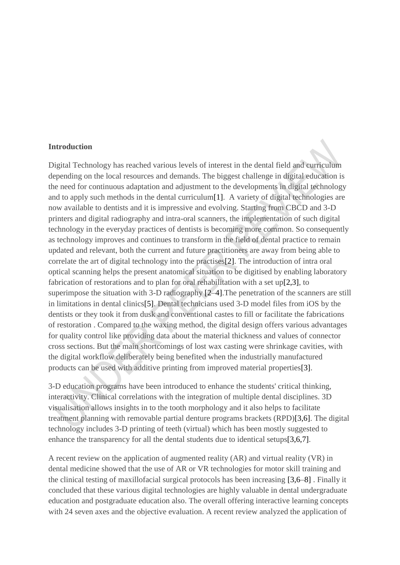#### **Introduction**

Digital Technology has reached various levels of interest in the dental field and curriculum depending on the local resources and demands. The biggest challenge in digital education is the need for continuous adaptation and adjustment to the developments in digital technology and to apply such methods in the dental curriculu[m\[1\].](https://paperpile.com/c/PniSxl/Vk347) A variety of digital technologies are now available to dentists and it is impressive and evolving. Starting from CBCD and 3-D printers and digital radiography and intra-oral scanners, the implementation of such digital technology in the everyday practices of dentists is becoming more common. So consequently as technology improves and continues to transform in the field of dental practice to remain updated and relevant, both the current and future practitioners are away from being able to correlate the art of digital technology into the practise[s\[2\].](https://paperpile.com/c/PniSxl/4iEjM) The introduction of intra oral optical scanning helps the present anatomical situation to be digitised by enabling laboratory fabrication of restorations and to plan for oral rehabilitation with a set u[p\[2,3\],](https://paperpile.com/c/PniSxl/4iEjM+YxLLa) to superimpose the situation with 3-D radiography [\[2–4\].](https://paperpile.com/c/PniSxl/4iEjM+YxLLa+7f0b6)The penetration of the scanners are still in limitations in dental clinic[s\[5\].](https://paperpile.com/c/PniSxl/MMwRh) Dental technicians used 3-D model files from iOS by the dentists or they took it from dusk and conventional castes to fill or facilitate the fabrications of restoration . Compared to the waxing method, the digital design offers various advantages for quality control like providing data about the material thickness and values of connector cross sections. But the main shortcomings of lost wax casting were shrinkage cavities, with the digital workflow deliberately being benefited when the industrially manufactured products can be used with additive printing from improved material propertie[s\[3\].](https://paperpile.com/c/PniSxl/YxLLa)

3-D education programs have been introduced to enhance the students' critical thinking, interactivity. Clinical correlations with the integration of multiple dental disciplines. 3D visualisation allows insights in to the tooth morphology and it also helps to facilitate treatment planning with removable partial denture programs brackets (RPD[\)\[3,6\].](https://paperpile.com/c/PniSxl/YxLLa+YrMjq) The digital technology includes 3-D printing of teeth (virtual) which has been mostly suggested to enhance the transparency for all the dental students due to identical setup[s\[3,6,7\].](https://paperpile.com/c/PniSxl/YxLLa+YrMjq+KBp6i)

A recent review on the application of augmented reality (AR) and virtual reality (VR) in dental medicine showed that the use of AR or VR technologies for motor skill training and the clinical testing of maxillofacial surgical protocols has been increasing [\[3,6–8\]](https://paperpile.com/c/PniSxl/YxLLa+YrMjq+KBp6i+KoEtB) . Finally it concluded that these various digital technologies are highly valuable in dental undergraduate education and postgraduate education also. The overall offering interactive learning concepts with 24 seven axes and the objective evaluation. A recent review analyzed the application of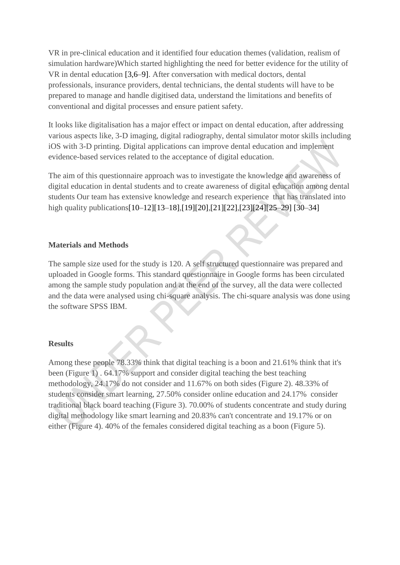VR in pre-clinical education and it identified four education themes (validation, realism of simulation hardware)Which started highlighting the need for better evidence for the utility of VR in dental education [\[3,6–9\].](https://paperpile.com/c/PniSxl/YxLLa+YrMjq+KBp6i+KoEtB+RgnBR) After conversation with medical doctors, dental professionals, insurance providers, dental technicians, the dental students will have to be prepared to manage and handle digitised data, understand the limitations and benefits of conventional and digital processes and ensure patient safety.

It looks like digitalisation has a major effect or impact on dental education, after addressing various aspects like, 3-D imaging, digital radiography, dental simulator motor skills including iOS with 3-D printing. Digital applications can improve dental education and implement evidence-based services related to the acceptance of digital education.

The aim of this questionnaire approach was to investigate the knowledge and awareness of digital education in dental students and to create awareness of digital education among dental students Our team has extensive knowledge and research experience that has translated into high quality publication[s\[10–12\]\[13–18\],](https://paperpile.com/c/PniSxl/l3ecR+9VqFA+Av1BH)[\[19\]\[20\],](https://paperpile.com/c/PniSxl/d2gi3)[\[21\]\[22\],](https://paperpile.com/c/PniSxl/aY4d3)[\[23\]\[24\]](https://paperpile.com/c/PniSxl/3jqII)[\[25–29\]](https://paperpile.com/c/PniSxl/qCIIy+K07vW+gKg6h+8271h+694OP) [\[30–34\]](https://paperpile.com/c/PniSxl/qVROx+WHXcZ+bhElT+O4a6z+SYK3H)

## **Materials and Methods**

The sample size used for the study is 120. A self structured questionnaire was prepared and uploaded in Google forms. This standard questionnaire in Google forms has been circulated among the sample study population and at the end of the survey, all the data were collected and the data were analysed using chi-square analysis. The chi-square analysis was done using the software SPSS IBM.

## **Results**

Among these people 78.33% think that digital teaching is a boon and 21.61% think that it's been (Figure 1) . 64.17% support and consider digital teaching the best teaching methodology, 24.17% do not consider and 11.67% on both sides (Figure 2). 48.33% of students consider smart learning, 27.50% consider online education and 24.17% consider traditional black board teaching (Figure 3). 70.00% of students concentrate and study during digital methodology like smart learning and 20.83% can't concentrate and 19.17% or on either (Figure 4). 40% of the females considered digital teaching as a boon (Figure 5).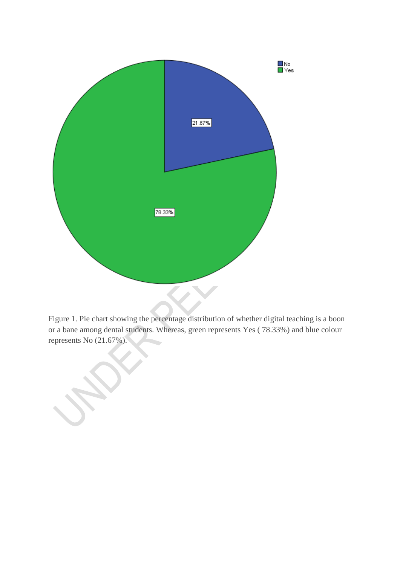

Figure 1. Pie chart showing the percentage distribution of whether digital teaching is a boon or a bane among dental students. Whereas, green represents Yes ( 78.33%) and blue colour represents No (21.67%).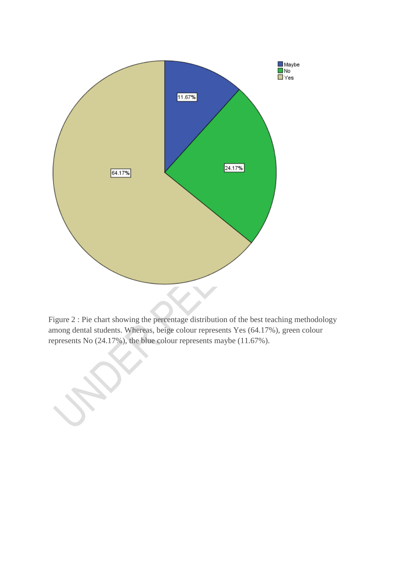

Figure 2 : Pie chart showing the percentage distribution of the best teaching methodology among dental students. Whereas, beige colour represents Yes (64.17%), green colour represents No (24.17%), the blue colour represents maybe (11.67%).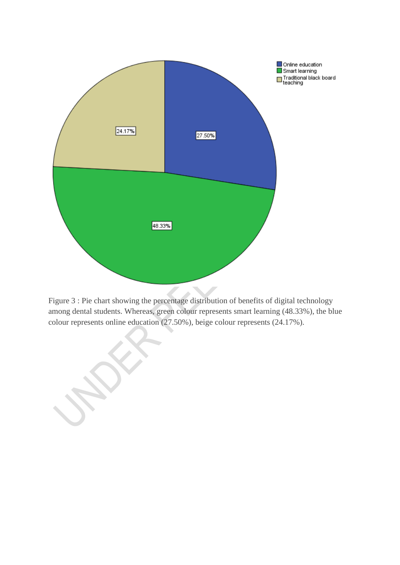

Figure 3 : Pie chart showing the percentage distribution of benefits of digital technology among dental students. Whereas, green colour represents smart learning (48.33%), the blue colour represents online education (27.50%), beige colour represents (24.17%).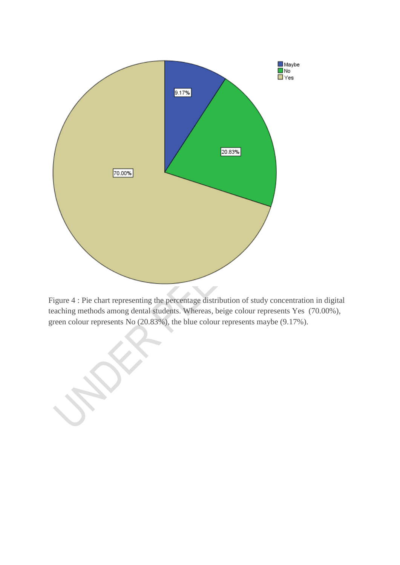

Figure 4 : Pie chart representing the percentage distribution of study concentration in digital teaching methods among dental students. Whereas, beige colour represents Yes (70.00%), green colour represents No (20.83%), the blue colour represents maybe (9.17%).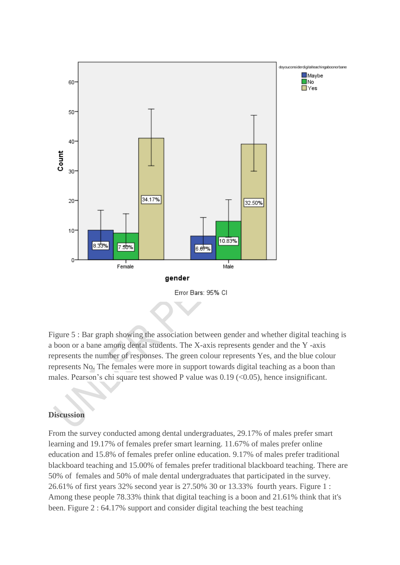

Figure 5 : Bar graph showing the association between gender and whether digital teaching is a boon or a bane among dental students. The X-axis represents gender and the Y -axis represents the number of responses. The green colour represents Yes, and the blue colour represents No. The females were more in support towards digital teaching as a boon than males. Pearson's chi square test showed P value was 0.19 (<0.05), hence insignificant.

# **Discussion**

From the survey conducted among dental undergraduates, 29.17% of males prefer smart learning and 19.17% of females prefer smart learning. 11.67% of males prefer online education and 15.8% of females prefer online education. 9.17% of males prefer traditional blackboard teaching and 15.00% of females prefer traditional blackboard teaching. There are 50% of females and 50% of male dental undergraduates that participated in the survey. 26.61% of first years 32% second year is 27.50% 30 or 13.33% fourth years. Figure 1 : Among these people 78.33% think that digital teaching is a boon and 21.61% think that it's been. Figure 2 : 64.17% support and consider digital teaching the best teaching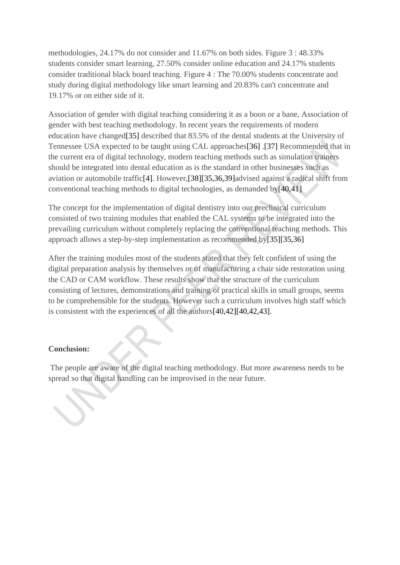methodologies, 24.17% do not consider and 11.67% on both sides. Figure 3 : 48.33% students consider smart learning, 27.50% consider online education and 24.17% students consider traditional black board teaching. Figure 4 : The 70.00% students concentrate and study during digital methodology like smart learning and 20.83% can't concentrate and 19.17% or on either side of it.

Association of gender with digital teaching considering it as a boon or a bane, Association of gender with best teaching methodology. In recent years the requirements of modern education have change[d\[35\]](https://paperpile.com/c/PniSxl/5PgA9) described that 83.5% of the dental students at the University of Tennessee USA expected to be taught using CAL approache[s\[36\]](https://paperpile.com/c/PniSxl/vs7d0) [.\[37\]](https://paperpile.com/c/PniSxl/izYGy) Recommended that in the current era of digital technology, modern teaching methods such as simulation trainers should be integrated into dental education as is the standard in other businesses such as aviation or automobile traffi[c\[4\].](https://paperpile.com/c/PniSxl/7f0b6) However[,\[38\]\[35,36,39\]a](https://paperpile.com/c/PniSxl/cDjNd)dvised against a radical shift from conventional teaching methods to digital technologies, as demanded b[y\[40,41\]](https://paperpile.com/c/PniSxl/rZNoK+JlQFv)

The concept for the implementation of digital dentistry into our preclinical curriculum consisted of two training modules that enabled the CAL systems to be integrated into the prevailing curriculum without completely replacing the conventional teaching methods. This approach allows a step-by-step implementation as recommended b[y\[35\]\[35,36\]](https://paperpile.com/c/PniSxl/5PgA9)

After the training modules most of the students stated that they felt confident of using the digital preparation analysis by themselves or of manufacturing a chair side restoration using the CAD or CAM workflow. These results show that the structure of the curriculum consisting of lectures, demonstrations and training of practical skills in small groups, seems to be comprehensible for the students. However such a curriculum involves high staff which is consistent with the experiences of all the author[s\[40,42\]\[40,42,43\].](https://paperpile.com/c/PniSxl/rZNoK+tIu0R)

# **Conclusion:**

The people are aware of the digital teaching methodology. But more awareness needs to be spread so that digital handling can be improvised in the near future.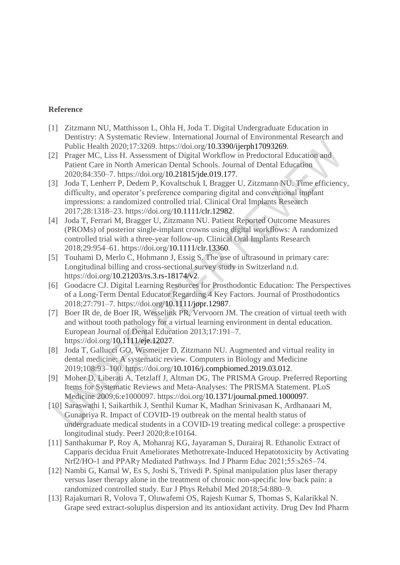# **Reference**

- [1] [Zitzmann NU, Matthisson L, Ohla H, Joda T. Digital Undergraduate Education in](http://paperpile.com/b/PniSxl/Vk347)  [Dentistry: A Systematic Review. International Journal of Environmental Research and](http://paperpile.com/b/PniSxl/Vk347)  [Public Health 2020;17:3269. https://doi.org/10.3390/ijerph17093269.](http://paperpile.com/b/PniSxl/Vk347)
- [2] [Prager MC, Liss H. Assessment of Digital Workflow in Predoctoral Education and](http://paperpile.com/b/PniSxl/4iEjM)  [Patient Care in North American Dental Schools. Journal of Dental Education](http://paperpile.com/b/PniSxl/4iEjM)  [2020;84:350–7. https://doi.org/10.21815/jde.019.177.](http://paperpile.com/b/PniSxl/4iEjM)
- [3] [Joda T, Lenherr P, Dedem P, Kovaltschuk I, Bragger U, Zitzmann NU. Time efficiency,](http://paperpile.com/b/PniSxl/YxLLa)  [difficulty, and operator's preference comparing digital and conventional implant](http://paperpile.com/b/PniSxl/YxLLa)  [impressions: a randomized controlled trial. Clinical Oral Implants Research](http://paperpile.com/b/PniSxl/YxLLa)  [2017;28:1318–23. https://doi.org/10.1111/clr.12982.](http://paperpile.com/b/PniSxl/YxLLa)
- [4] [Joda T, Ferrari M, Bragger U, Zitzmann NU. Patient Reported Outcome Measures](http://paperpile.com/b/PniSxl/7f0b6)  [\(PROMs\) of posterior single-implant crowns using digital workflows: A randomized](http://paperpile.com/b/PniSxl/7f0b6)  [controlled trial with a three-year follow-up. Clinical Oral Implants Research](http://paperpile.com/b/PniSxl/7f0b6)  [2018;29:954–61. https://doi.org/10.1111/clr.13360.](http://paperpile.com/b/PniSxl/7f0b6)
- [5] [Touhami D, Merlo C, Hohmann J, Essig S. The use of ultrasound in](http://paperpile.com/b/PniSxl/MMwRh) primary care: [Longitudinal billing and cross-sectional survey study in Switzerland n.d.](http://paperpile.com/b/PniSxl/MMwRh)  [https://doi.org/10.21203/rs.3.rs-18174/v2.](http://paperpile.com/b/PniSxl/MMwRh)
- [6] [Goodacre CJ. Digital Learning Resources for Prosthodontic Education: The Perspectives](http://paperpile.com/b/PniSxl/YrMjq)  [of a Long-Term Dental Educator Regarding 4 Key Factors. Journal of Prosthodontics](http://paperpile.com/b/PniSxl/YrMjq)  [2018;27:791–7. https://doi.org/10.1111/jopr.12987.](http://paperpile.com/b/PniSxl/YrMjq)
- [7] [Boer IR de, de Boer IR, Wesselink PR, Vervoorn JM. The creation of virtual teeth with](http://paperpile.com/b/PniSxl/KBp6i)  [and without tooth pathology for a virtual learning environment in dental education.](http://paperpile.com/b/PniSxl/KBp6i)  [European Journal of Dental Education 2013;17:191–7.](http://paperpile.com/b/PniSxl/KBp6i)  [https://doi.org/10.1111/eje.12027.](http://paperpile.com/b/PniSxl/KBp6i)
- [8] [Joda T, Gallucci GO, Wismeijer D, Zitzmann NU. Augmented and virtual reality in](http://paperpile.com/b/PniSxl/KoEtB)  [dental medicine: A systematic review. Computers in Biology and Medicine](http://paperpile.com/b/PniSxl/KoEtB)  [2019;108:93–100. https://doi.org/10.1016/j.compbiomed.2019.03.012.](http://paperpile.com/b/PniSxl/KoEtB)
- [9] [Moher D, Liberati A, Tetzlaff J, Altman DG, The PRISMA Group. Preferred Reporting](http://paperpile.com/b/PniSxl/RgnBR)  [Items for Systematic Reviews and Meta-Analyses: The PRISMA Statement. PLoS](http://paperpile.com/b/PniSxl/RgnBR)  [Medicine 2009;6:e1000097. https://doi.org/10.1371/journal.pmed.1000097.](http://paperpile.com/b/PniSxl/RgnBR)
- [10] [Saraswathi I, Saikarthik J, Senthil Kumar K, Madhan Srinivasan K, Ardhanaari M,](http://paperpile.com/b/PniSxl/l3ecR)  [Gunapriya R. Impact of COVID-19 outbreak on the mental health status of](http://paperpile.com/b/PniSxl/l3ecR)  [undergraduate medical students in a COVID-19 treating medical college: a prospective](http://paperpile.com/b/PniSxl/l3ecR)  [longitudinal study. PeerJ 2020;8:e10164.](http://paperpile.com/b/PniSxl/l3ecR)
- [11] [Santhakumar P, Roy A, Mohanraj KG, Jayaraman S, Durairaj](http://paperpile.com/b/PniSxl/9VqFA) R. Ethanolic Extract of [Capparis decidua Fruit Ameliorates Methotrexate-Induced Hepatotoxicity by Activating](http://paperpile.com/b/PniSxl/9VqFA)  [Nrf2/HO-1 and PPARγ Mediated Pathways. Ind J Pharm Educ 2021;55:s265–74.](http://paperpile.com/b/PniSxl/9VqFA)
- [12] [Nambi G, Kamal W, Es S, Joshi S, Trivedi P. Spinal manipulation plus laser therapy](http://paperpile.com/b/PniSxl/Av1BH)  [versus laser therapy alone in the treatment of chronic non-specific low back pain: a](http://paperpile.com/b/PniSxl/Av1BH)  [randomized controlled study. Eur J Phys Rehabil Med 2018;54:880–9.](http://paperpile.com/b/PniSxl/Av1BH)
- [13] [Rajakumari R, Volova T, Oluwafemi OS, Rajesh Kumar S, Thomas S, Kalarikkal N.](http://paperpile.com/b/PniSxl/PWRIw)  [Grape seed extract-soluplus dispersion and its antioxidant activity. Drug Dev Ind Pharm](http://paperpile.com/b/PniSxl/PWRIw)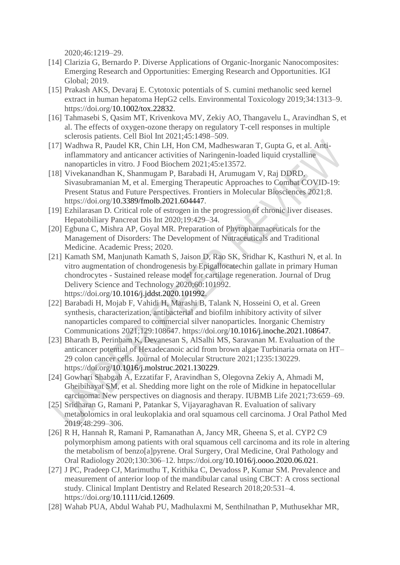2020;46:1219–29.

- [14] [Clarizia G, Bernardo P. Diverse Applications of Organic-Inorganic Nanocomposites:](http://paperpile.com/b/PniSxl/1cVpO)  [Emerging Research and Opportunities: Emerging Research and Opportunities. IGI](http://paperpile.com/b/PniSxl/1cVpO)  [Global; 2019.](http://paperpile.com/b/PniSxl/1cVpO)
- [15] [Prakash AKS, Devaraj E. Cytotoxic potentials of S. cumini methanolic seed kernel](http://paperpile.com/b/PniSxl/d7oPi)  [extract in human hepatoma HepG2 cells. Environmental Toxicology 2019;34:1313–9.](http://paperpile.com/b/PniSxl/d7oPi)  [https://doi.org/10.1002/tox.22832.](http://paperpile.com/b/PniSxl/d7oPi)
- [16] [Tahmasebi S, Qasim MT, Krivenkova MV, Zekiy AO, Thangavelu L, Aravindhan S, et](http://paperpile.com/b/PniSxl/MtCw2)  [al. The effects of oxygen-ozone therapy on regulatory T-cell responses in multiple](http://paperpile.com/b/PniSxl/MtCw2)  [sclerosis patients. Cell Biol Int 2021;45:1498–509.](http://paperpile.com/b/PniSxl/MtCw2)
- [17] [Wadhwa R, Paudel KR, Chin LH, Hon CM, Madheswaran T, Gupta G, et al. Anti](http://paperpile.com/b/PniSxl/ctHTV)[inflammatory and anticancer activities of Naringenin-loaded liquid crystalline](http://paperpile.com/b/PniSxl/ctHTV)  [nanoparticles in vitro. J Food Biochem 2021;45:e13572.](http://paperpile.com/b/PniSxl/ctHTV)
- [18] [Vivekanandhan K, Shanmugam P, Barabadi H, Arumugam V, Raj DDRD,](http://paperpile.com/b/PniSxl/pIULF)  [Sivasubramanian M, et al. Emerging Therapeutic Approaches to Combat COVID-19:](http://paperpile.com/b/PniSxl/pIULF)  [Present Status and Future Perspectives. Frontiers in Molecular Biosciences 2021;8.](http://paperpile.com/b/PniSxl/pIULF)  [https://doi.org/10.3389/fmolb.2021.604447.](http://paperpile.com/b/PniSxl/pIULF)
- [19] [Ezhilarasan D. Critical role of estrogen in the progression of chronic liver diseases.](http://paperpile.com/b/PniSxl/d2gi3)  [Hepatobiliary Pancreat Dis Int 2020;19:429–34.](http://paperpile.com/b/PniSxl/d2gi3)
- [20] Egbuna C, Mishra [AP, Goyal MR. Preparation of Phytopharmaceuticals for the](http://paperpile.com/b/PniSxl/AQsxn)  [Management of Disorders: The Development of Nutraceuticals and Traditional](http://paperpile.com/b/PniSxl/AQsxn)  [Medicine. Academic Press; 2020.](http://paperpile.com/b/PniSxl/AQsxn)
- [21] [Kamath SM, Manjunath Kamath S, Jaison D, Rao SK, Sridhar K, Kasthuri N, et al. In](http://paperpile.com/b/PniSxl/aY4d3)  [vitro augmentation of chondrogenesis by Epigallocatechin gallate in primary Human](http://paperpile.com/b/PniSxl/aY4d3)  chondrocytes - [Sustained release model for cartilage regeneration. Journal of Drug](http://paperpile.com/b/PniSxl/aY4d3)  [Delivery Science and Technology 2020;60:101992.](http://paperpile.com/b/PniSxl/aY4d3)  [https://doi.org/10.1016/j.jddst.2020.101992.](http://paperpile.com/b/PniSxl/aY4d3)
- [22] Barabadi H, Mojab F, Vahidi H, [Marashi B, Talank N, Hosseini O, et al. Green](http://paperpile.com/b/PniSxl/MMmuj)  [synthesis, characterization, antibacterial and biofilm inhibitory activity of silver](http://paperpile.com/b/PniSxl/MMmuj)  [nanoparticles compared to commercial silver nanoparticles. Inorganic Chemistry](http://paperpile.com/b/PniSxl/MMmuj)  [Communications 2021;129:108647. https://doi.org/10.1016/j.inoche.2021.108647.](http://paperpile.com/b/PniSxl/MMmuj)
- [23] [Bharath B, Perinbam K, Devanesan S, AlSalhi MS, Saravanan M. Evaluation of the](http://paperpile.com/b/PniSxl/3jqII)  [anticancer potential of Hexadecanoic acid from brown algae Turbinaria ornata on HT–](http://paperpile.com/b/PniSxl/3jqII) [29 colon cancer cells. Journal of Molecular Structure 2021;1235:130229.](http://paperpile.com/b/PniSxl/3jqII)  [https://doi.org/10.1016/j.molstruc.2021.130229.](http://paperpile.com/b/PniSxl/3jqII)
- [24] [Gowhari Shabgah A, Ezzatifar F, Aravindhan S, Olegovna Zekiy A, Ahmadi M,](http://paperpile.com/b/PniSxl/laqj0)  [Gheibihayat SM, et al. Shedding more light on the role of Midkine in hepatocellular](http://paperpile.com/b/PniSxl/laqj0)  [carcinoma: New perspectives on diagnosis and therapy. IUBMB Life 2021;73:659–69.](http://paperpile.com/b/PniSxl/laqj0)
- [25] [Sridharan G, Ramani P, Patankar S, Vijayaraghavan R. Evaluation of salivary](http://paperpile.com/b/PniSxl/qCIIy)  [metabolomics in oral leukoplakia and oral squamous cell carcinoma. J Oral Pathol Med](http://paperpile.com/b/PniSxl/qCIIy)  [2019;48:299–306.](http://paperpile.com/b/PniSxl/qCIIy)
- [26] [R H, Hannah R, Ramani P, Ramanathan A, Jancy MR, Gheena S, et al. CYP2 C9](http://paperpile.com/b/PniSxl/K07vW)  [polymorphism among patients with oral squamous cell carcinoma and its role in altering](http://paperpile.com/b/PniSxl/K07vW)  [the metabolism of benzo\[a\]pyrene. Oral Surgery, Oral Medicine, Oral Pathology and](http://paperpile.com/b/PniSxl/K07vW)  [Oral Radiology 2020;130:306–12. https://doi.org/10.1016/j.oooo.2020.06.021.](http://paperpile.com/b/PniSxl/K07vW)
- [27] [J PC, Pradeep CJ, Marimuthu T, Krithika C, Devadoss P, Kumar SM. Prevalence and](http://paperpile.com/b/PniSxl/gKg6h)  [measurement of anterior loop of the mandibular canal using CBCT: A cross sectional](http://paperpile.com/b/PniSxl/gKg6h)  [study. Clinical Implant Dentistry and Related Research 2018;20:531–4.](http://paperpile.com/b/PniSxl/gKg6h)  [https://doi.org/10.1111/cid.12609.](http://paperpile.com/b/PniSxl/gKg6h)
- [28] [Wahab PUA, Abdul Wahab PU, Madhulaxmi M, Senthilnathan P, Muthusekhar MR,](http://paperpile.com/b/PniSxl/8271h)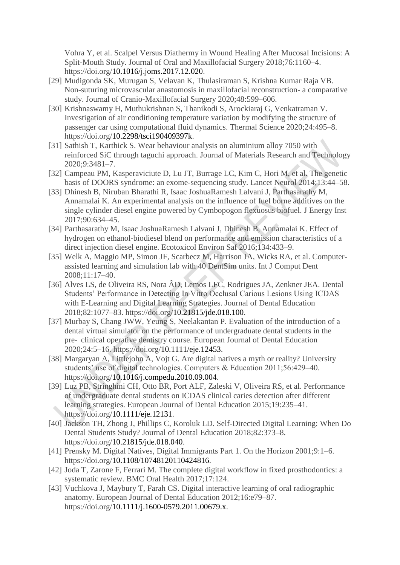Vohra Y, et al. Scalpel Versus Diathermy in Wound Healing After Mucosal Incisions: A Split-Mouth Study. Journal of Oral and Maxillofacial Surgery 2018;76:1160–4. https://doi.org[/10.1016/j.joms.2017.12.020.](http://dx.doi.org/10.1016/j.joms.2017.12.020)

- [29] [Mudigonda SK, Murugan S, Velavan K, Thulasiraman S, Krishna Kumar Raja VB.](http://paperpile.com/b/PniSxl/694OP)  [Non-suturing microvascular anastomosis in maxillofacial reconstruction-](http://paperpile.com/b/PniSxl/694OP) a comparative [study. Journal of Cranio-Maxillofacial Surgery 2020;48:599–606.](http://paperpile.com/b/PniSxl/694OP)
- [30] [Krishnaswamy H, Muthukrishnan S, Thanikodi S, Arockiaraj G, Venkatraman V.](http://paperpile.com/b/PniSxl/qVROx)  [Investigation of air conditioning temperature variation by modifying the structure of](http://paperpile.com/b/PniSxl/qVROx)  [passenger car using computational fluid dynamics. Thermal Science 2020;24:495–8.](http://paperpile.com/b/PniSxl/qVROx)  [https://doi.org/10.2298/tsci190409397k.](http://paperpile.com/b/PniSxl/qVROx)
- [31] [Sathish T, Karthick S. Wear behaviour analysis on aluminium alloy 7050 with](http://paperpile.com/b/PniSxl/WHXcZ)  [reinforced SiC through taguchi approach. Journal of Materials Research and Technology](http://paperpile.com/b/PniSxl/WHXcZ)  [2020;9:3481–7.](http://paperpile.com/b/PniSxl/WHXcZ)
- [32] Campeau PM, Kasperaviciute D, Lu JT, Burrage LC, Kim C, Hori M, et al. The genetic [basis of DOORS syndrome: an exome-sequencing study. Lancet Neurol 2014;13:44–58.](http://paperpile.com/b/PniSxl/bhElT)
- [33] [Dhinesh B, Niruban Bharathi R, Isaac JoshuaRamesh Lalvani J, Parthasarathy M,](http://paperpile.com/b/PniSxl/O4a6z)  [Annamalai K. An experimental analysis on the influence of fuel borne additives on the](http://paperpile.com/b/PniSxl/O4a6z)  [single cylinder diesel engine powered by Cymbopogon flexuosus biofuel. J Energy Inst](http://paperpile.com/b/PniSxl/O4a6z)  [2017;90:634–45.](http://paperpile.com/b/PniSxl/O4a6z)
- [34] [Parthasarathy M, Isaac JoshuaRamesh Lalvani J, Dhinesh B, Annamalai K. Effect of](http://paperpile.com/b/PniSxl/SYK3H)  [hydrogen on ethanol-biodiesel blend on performance and emission characteristics of a](http://paperpile.com/b/PniSxl/SYK3H)  [direct injection diesel engine. Ecotoxicol Environ Saf 2016;134:433–9.](http://paperpile.com/b/PniSxl/SYK3H)
- [35] [Welk A, Maggio MP, Simon JF, Scarbecz M, Harrison JA, Wicks RA, et al. Computer](http://paperpile.com/b/PniSxl/5PgA9)[assisted learning and simulation lab with 40 DentSim units. Int J Comput Dent](http://paperpile.com/b/PniSxl/5PgA9)  [2008;11:17–40.](http://paperpile.com/b/PniSxl/5PgA9)
- [36] [Alves LS, de Oliveira RS, Nora ÂD, Lemos LFC, Rodrigues JA, Zenkner JEA. Dental](http://paperpile.com/b/PniSxl/vs7d0)  [Students' Performance in Detecting In Vitro Occlusal Carious Lesions Using ICDAS](http://paperpile.com/b/PniSxl/vs7d0)  [with E-Learning and Digital Learning Strategies. Journal of Dental Education](http://paperpile.com/b/PniSxl/vs7d0)  [2018;82:1077–83. https://doi.org/10.21815/jde.018.100.](http://paperpile.com/b/PniSxl/vs7d0)
- [37] [Murbay S, Chang JWW, Yeung S, Neelakantan P. Evaluation of the introduction of a](http://paperpile.com/b/PniSxl/izYGy)  [dental virtual simulator on the performance of undergraduate dental students in the](http://paperpile.com/b/PniSxl/izYGy)  pre‐ [clinical operative dentistry course. European Journal of Dental Education](http://paperpile.com/b/PniSxl/izYGy)  [2020;24:5–16. https://doi.org/10.1111/eje.12453.](http://paperpile.com/b/PniSxl/izYGy)
- [38] [Margaryan A, Littlejohn A, Vojt G. Are digital natives a myth or reality? University](http://paperpile.com/b/PniSxl/cDjNd)  [students' use of digital technologies. Computers & Education 2011;56:429–40.](http://paperpile.com/b/PniSxl/cDjNd)  [https://doi.org/10.1016/j.compedu.2010.09.004.](http://paperpile.com/b/PniSxl/cDjNd)
- [39] [Luz PB, Stringhini CH, Otto BR, Port ALF, Zaleski V, Oliveira RS, et al. Performance](http://paperpile.com/b/PniSxl/vWUFr)  [of undergraduate dental students on ICDAS clinical caries detection after different](http://paperpile.com/b/PniSxl/vWUFr)  [learning strategies. European Journal of Dental Education 2015;19:235–41.](http://paperpile.com/b/PniSxl/vWUFr)  [https://doi.org/10.1111/eje.12131.](http://paperpile.com/b/PniSxl/vWUFr)
- [40] [Jackson TH, Zhong J, Phillips C, Koroluk LD. Self-Directed Digital Learning: When Do](http://paperpile.com/b/PniSxl/rZNoK)  [Dental Students Study? Journal of Dental Education 2018;82:373–8.](http://paperpile.com/b/PniSxl/rZNoK)  [https://doi.org/10.21815/jde.018.040.](http://paperpile.com/b/PniSxl/rZNoK)
- [41] [Prensky M. Digital Natives, Digital Immigrants Part 1. On the Horizon 2001;9:1–6.](http://paperpile.com/b/PniSxl/JlQFv)  [https://doi.org/10.1108/10748120110424816.](http://paperpile.com/b/PniSxl/JlQFv)
- [42] [Joda T, Zarone F, Ferrari M. The complete digital workflow in fixed prosthodontics: a](http://paperpile.com/b/PniSxl/tIu0R)  [systematic review. BMC Oral Health 2017;17:124.](http://paperpile.com/b/PniSxl/tIu0R)
- [43] [Vuchkova J, Maybury T, Farah CS. Digital interactive learning of oral radiographic](http://paperpile.com/b/PniSxl/FQyb7)  [anatomy. European Journal of Dental Education 2012;16:e79–87.](http://paperpile.com/b/PniSxl/FQyb7)  [https://doi.org/10.1111/j.1600-0579.2011.00679.x.](http://paperpile.com/b/PniSxl/FQyb7)